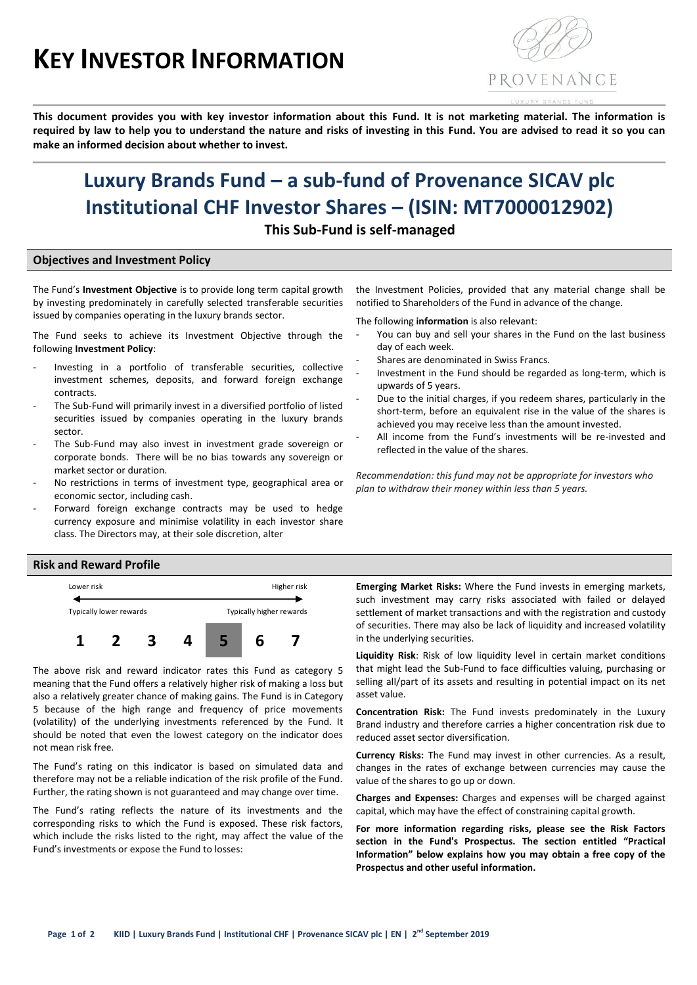# **KEY INVESTOR INFORMATION**



**This document provides you with key investor information about this Fund. It is not marketing material. The information is required by law to help you to understand the nature and risks of investing in this Fund. You are advised to read it so you can make an informed decision about whether to invest.**

# **Luxury Brands Fund – a sub-fund of Provenance SICAV plc Institutional CHF Investor Shares – (ISIN: MT7000012902)**

**This Sub-Fund is self-managed**

# **Objectives and Investment Policy**

The Fund's **Investment Objective** is to provide long term capital growth by investing predominately in carefully selected transferable securities issued by companies operating in the luxury brands sector.

The Fund seeks to achieve its Investment Objective through the following **Investment Policy**:

- Investing in a portfolio of transferable securities, collective investment schemes, deposits, and forward foreign exchange contracts.
- The Sub-Fund will primarily invest in a diversified portfolio of listed securities issued by companies operating in the luxury brands sector.
- The Sub-Fund may also invest in investment grade sovereign or corporate bonds. There will be no bias towards any sovereign or market sector or duration.
- No restrictions in terms of investment type, geographical area or economic sector, including cash.
- Forward foreign exchange contracts may be used to hedge currency exposure and minimise volatility in each investor share class. The Directors may, at their sole discretion, alter

the Investment Policies, provided that any material change shall be notified to Shareholders of the Fund in advance of the change.

The following **information** is also relevant:

- You can buy and sell your shares in the Fund on the last business day of each week.
- Shares are denominated in Swiss Francs.
- Investment in the Fund should be regarded as long-term, which is upwards of 5 years.
- Due to the initial charges, if you redeem shares, particularly in the short-term, before an equivalent rise in the value of the shares is achieved you may receive less than the amount invested.
- All income from the Fund's investments will be re-invested and reflected in the value of the shares.

*Recommendation: this fund may not be appropriate for investors who plan to withdraw their money within less than 5 years.*

# **Risk and Reward Profile**



The above risk and reward indicator rates this Fund as category 5 meaning that the Fund offers a relatively higher risk of making a loss but also a relatively greater chance of making gains. The Fund is in Category 5 because of the high range and frequency of price movements (volatility) of the underlying investments referenced by the Fund. It should be noted that even the lowest category on the indicator does not mean risk free.

The Fund's rating on this indicator is based on simulated data and therefore may not be a reliable indication of the risk profile of the Fund. Further, the rating shown is not guaranteed and may change over time.

The Fund's rating reflects the nature of its investments and the corresponding risks to which the Fund is exposed. These risk factors, which include the risks listed to the right, may affect the value of the Fund's investments or expose the Fund to losses:

**Emerging Market Risks:** Where the Fund invests in emerging markets, such investment may carry risks associated with failed or delayed settlement of market transactions and with the registration and custody of securities. There may also be lack of liquidity and increased volatility in the underlying securities.

**Liquidity Risk**: Risk of low liquidity level in certain market conditions that might lead the Sub-Fund to face difficulties valuing, purchasing or selling all/part of its assets and resulting in potential impact on its net asset value.

**Concentration Risk:** The Fund invests predominately in the Luxury Brand industry and therefore carries a higher concentration risk due to reduced asset sector diversification.

**Currency Risks:** The Fund may invest in other currencies. As a result, changes in the rates of exchange between currencies may cause the value of the shares to go up or down.

**Charges and Expenses:** Charges and expenses will be charged against capital, which may have the effect of constraining capital growth.

**For more information regarding risks, please see the Risk Factors section in the Fund's Prospectus. The section entitled "Practical Information" below explains how you may obtain a free copy of the Prospectus and other useful information.**